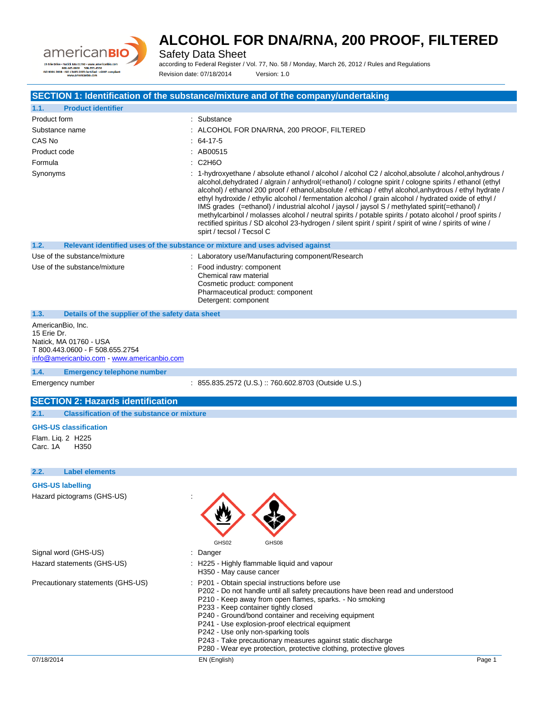

Safety Data Sheet

according to Federal Register / Vol. 77, No. 58 / Monday, March 26, 2012 / Rules and Regulations Revision date: 07/18/2014 Version: 1.0

## **SECTION 1: Identification of the substance/mixture and of the company/undertaking**

| 1.1.<br><b>Product identifier</b>                                                                                                                                                                                                        |                                                                                                                                                                                                                                                                                                                                                                                                                                                                                                                                                                                                                                                                                                                                                                                           |
|------------------------------------------------------------------------------------------------------------------------------------------------------------------------------------------------------------------------------------------|-------------------------------------------------------------------------------------------------------------------------------------------------------------------------------------------------------------------------------------------------------------------------------------------------------------------------------------------------------------------------------------------------------------------------------------------------------------------------------------------------------------------------------------------------------------------------------------------------------------------------------------------------------------------------------------------------------------------------------------------------------------------------------------------|
| Product form                                                                                                                                                                                                                             | : Substance                                                                                                                                                                                                                                                                                                                                                                                                                                                                                                                                                                                                                                                                                                                                                                               |
| Substance name                                                                                                                                                                                                                           | : ALCOHOL FOR DNA/RNA, 200 PROOF, FILTERED                                                                                                                                                                                                                                                                                                                                                                                                                                                                                                                                                                                                                                                                                                                                                |
| CAS No                                                                                                                                                                                                                                   | $: 64-17-5$                                                                                                                                                                                                                                                                                                                                                                                                                                                                                                                                                                                                                                                                                                                                                                               |
| Product code                                                                                                                                                                                                                             | : AB00515                                                                                                                                                                                                                                                                                                                                                                                                                                                                                                                                                                                                                                                                                                                                                                                 |
| Formula                                                                                                                                                                                                                                  | $\therefore$ C2H6O                                                                                                                                                                                                                                                                                                                                                                                                                                                                                                                                                                                                                                                                                                                                                                        |
| Synonyms                                                                                                                                                                                                                                 | : 1-hydroxyethane / absolute ethanol / alcohol / alcohol C2 / alcohol,absolute / alcohol,anhydrous /<br>alcohol, dehydrated / algrain / anhydrol(=ethanol) / cologne spirit / cologne spirits / ethanol (ethyl<br>alcohol) / ethanol 200 proof / ethanol, absolute / ethicap / ethyl alcohol, anhydrous / ethyl hydrate /<br>ethyl hydroxide / ethylic alcohol / fermentation alcohol / grain alcohol / hydrated oxide of ethyl /<br>IMS grades (=ethanol) / industrial alcohol / jaysol / jaysol S / methylated spirit(=ethanol) /<br>methylcarbinol / molasses alcohol / neutral spirits / potable spirits / potato alcohol / proof spirits /<br>rectified spiritus / SD alcohol 23-hydrogen / silent spirit / spirit / spirit of wine / spirits of wine /<br>spirt / tecsol / Tecsol C |
| 1.2.                                                                                                                                                                                                                                     | Relevant identified uses of the substance or mixture and uses advised against                                                                                                                                                                                                                                                                                                                                                                                                                                                                                                                                                                                                                                                                                                             |
| Use of the substance/mixture                                                                                                                                                                                                             | : Laboratory use/Manufacturing component/Research                                                                                                                                                                                                                                                                                                                                                                                                                                                                                                                                                                                                                                                                                                                                         |
| Use of the substance/mixture                                                                                                                                                                                                             | : Food industry: component<br>Chemical raw material<br>Cosmetic product: component<br>Pharmaceutical product: component<br>Detergent: component                                                                                                                                                                                                                                                                                                                                                                                                                                                                                                                                                                                                                                           |
| $\sim$<br>Police and the contract of the contract of the contract of the contract of the contract of the contract of the contract of the contract of the contract of the contract of the contract of the contract of the contract of the |                                                                                                                                                                                                                                                                                                                                                                                                                                                                                                                                                                                                                                                                                                                                                                                           |

#### **1.3. Details of the supplier of the safety data sheet**

AmericanBio, Inc. 15 Erie Dr. Natick, MA 01760 - USA T 800.443.0600 - F 508.655.2754 [info@americanbio.com](mailto:info@americanbio.com) - <www.americanbio.com>

#### **1.4. Emergency telephone number**

Emergency number : 855.835.2572 (U.S.) :: 760.602.8703 (Outside U.S.)

# **SECTION 2: Hazards identification**

**2.1. Classification of the substance or mixture**

### **GHS-US classification**

Flam. Liq. 2 H225 Carc. 1A H350

### **2.2. Label elements**

Signal word (GHS-US)

**GHS-US labelling** Hazard pictograms (GHS-US) :

| GHS02 | <b>GHS08</b> |
|-------|--------------|

| Danger |
|--------|

- Hazard statements (GHS-US) : H225 Highly flammable liquid and vapour
	- H350 May cause cancer
- 
- Precautionary statements (GHS-US) : P201 Obtain special instructions before use
	- P202 Do not handle until all safety precautions have been read and understood
	- P210 Keep away from open flames, sparks. No smoking
	- P233 Keep container tightly closed
	- P240 Ground/bond container and receiving equipment
	- P241 Use explosion-proof electrical equipment
	- P242 Use only non-sparking tools
	- P243 Take precautionary measures against static discharge
	- P280 Wear eye protection, protective clothing, protective gloves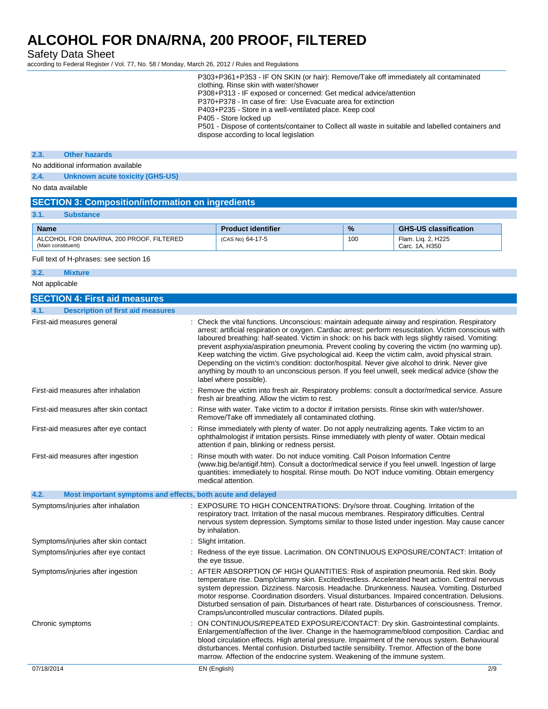Safety Data Sheet

according to Federal Register / Vol. 77, No. 58 / Monday, March 26, 2012 / Rules and Regulations

|                                     | P303+P361+P353 - IF ON SKIN (or hair): Remove/Take off immediately all contaminated                                                                                                                                                                                                                                                                                                                                          |  |
|-------------------------------------|------------------------------------------------------------------------------------------------------------------------------------------------------------------------------------------------------------------------------------------------------------------------------------------------------------------------------------------------------------------------------------------------------------------------------|--|
|                                     | clothing. Rinse skin with water/shower                                                                                                                                                                                                                                                                                                                                                                                       |  |
|                                     | P308+P313 - IF exposed or concerned: Get medical advice/attention                                                                                                                                                                                                                                                                                                                                                            |  |
|                                     | P370+P378 - In case of fire: Use Evacuate area for extinction                                                                                                                                                                                                                                                                                                                                                                |  |
|                                     | P403+P235 - Store in a well-ventilated place. Keep cool                                                                                                                                                                                                                                                                                                                                                                      |  |
|                                     | P405 - Store locked up                                                                                                                                                                                                                                                                                                                                                                                                       |  |
|                                     | P501 - Dispose of contents/container to Collect all waste in suitable and labelled containers and                                                                                                                                                                                                                                                                                                                            |  |
|                                     | dispose according to local legislation                                                                                                                                                                                                                                                                                                                                                                                       |  |
|                                     |                                                                                                                                                                                                                                                                                                                                                                                                                              |  |
| 2.3.<br><b>Other hazards</b>        |                                                                                                                                                                                                                                                                                                                                                                                                                              |  |
| No additional information available |                                                                                                                                                                                                                                                                                                                                                                                                                              |  |
| 2.4.                                | <b>Unknown acute toxicity (GHS-US)</b>                                                                                                                                                                                                                                                                                                                                                                                       |  |
| No data available                   |                                                                                                                                                                                                                                                                                                                                                                                                                              |  |
|                                     | $\mathbf{A} = \mathbf{A} + \mathbf{A} + \mathbf{A} + \mathbf{A} + \mathbf{A} + \mathbf{A} + \mathbf{A} + \mathbf{A} + \mathbf{A} + \mathbf{A} + \mathbf{A} + \mathbf{A} + \mathbf{A} + \mathbf{A} + \mathbf{A} + \mathbf{A} + \mathbf{A} + \mathbf{A} + \mathbf{A} + \mathbf{A} + \mathbf{A} + \mathbf{A} + \mathbf{A} + \mathbf{A} + \mathbf{A} + \mathbf{A} + \mathbf{A} + \mathbf{A} + \mathbf{A} + \mathbf{A} + \mathbf$ |  |

|  | <b>SECTION 3: Composition/information on ingredients/</b> |  |
|--|-----------------------------------------------------------|--|
|--|-----------------------------------------------------------|--|

| 3.1.<br><b>Supstance</b>                                       |                           |               |                                      |
|----------------------------------------------------------------|---------------------------|---------------|--------------------------------------|
| <b>Name</b>                                                    | <b>Product identifier</b> | $\frac{0}{2}$ | <b>GHS-US classification</b>         |
| ALCOHOL FOR DNA/RNA, 200 PROOF, FILTERED<br>(Main constituent) | (CAS No) 64-17-5          | 100           | Flam, Lig. 2, H225<br>Carc. 1A. H350 |

Full text of H-phrases: see section 16

**3.2. Mixture**

**3.1. Substance**

Not applicable

| <b>SECTION 4: First aid measures</b>                                |                                                                                                                                                                                                                                                                                                                                                                                                                                                                                                                                                                                                                                                                                                                                                 |
|---------------------------------------------------------------------|-------------------------------------------------------------------------------------------------------------------------------------------------------------------------------------------------------------------------------------------------------------------------------------------------------------------------------------------------------------------------------------------------------------------------------------------------------------------------------------------------------------------------------------------------------------------------------------------------------------------------------------------------------------------------------------------------------------------------------------------------|
| <b>Description of first aid measures</b><br>4.1.                    |                                                                                                                                                                                                                                                                                                                                                                                                                                                                                                                                                                                                                                                                                                                                                 |
| First-aid measures general                                          | : Check the vital functions. Unconscious: maintain adequate airway and respiration. Respiratory<br>arrest: artificial respiration or oxygen. Cardiac arrest: perform resuscitation. Victim conscious with<br>laboured breathing: half-seated. Victim in shock: on his back with legs slightly raised. Vomiting:<br>prevent asphyxia/aspiration pneumonia. Prevent cooling by covering the victim (no warming up).<br>Keep watching the victim. Give psychological aid. Keep the victim calm, avoid physical strain.<br>Depending on the victim's condition: doctor/hospital. Never give alcohol to drink. Never give<br>anything by mouth to an unconscious person. If you feel unwell, seek medical advice (show the<br>label where possible). |
| First-aid measures after inhalation                                 | : Remove the victim into fresh air. Respiratory problems: consult a doctor/medical service. Assure<br>fresh air breathing. Allow the victim to rest.                                                                                                                                                                                                                                                                                                                                                                                                                                                                                                                                                                                            |
| First-aid measures after skin contact                               | : Rinse with water. Take victim to a doctor if irritation persists. Rinse skin with water/shower.<br>Remove/Take off immediately all contaminated clothing.                                                                                                                                                                                                                                                                                                                                                                                                                                                                                                                                                                                     |
| First-aid measures after eye contact                                | Rinse immediately with plenty of water. Do not apply neutralizing agents. Take victim to an<br>ophthalmologist if irritation persists. Rinse immediately with plenty of water. Obtain medical<br>attention if pain, blinking or redness persist.                                                                                                                                                                                                                                                                                                                                                                                                                                                                                                |
| First-aid measures after ingestion                                  | : Rinse mouth with water. Do not induce vomiting. Call Poison Information Centre<br>(www.big.be/antigif.htm). Consult a doctor/medical service if you feel unwell. Ingestion of large<br>quantities: immediately to hospital. Rinse mouth. Do NOT induce vomiting. Obtain emergency<br>medical attention.                                                                                                                                                                                                                                                                                                                                                                                                                                       |
| 4.2.<br>Most important symptoms and effects, both acute and delayed |                                                                                                                                                                                                                                                                                                                                                                                                                                                                                                                                                                                                                                                                                                                                                 |
| Symptoms/injuries after inhalation                                  | : EXPOSURE TO HIGH CONCENTRATIONS: Dry/sore throat. Coughing. Irritation of the<br>respiratory tract. Irritation of the nasal mucous membranes. Respiratory difficulties. Central<br>nervous system depression. Symptoms similar to those listed under ingestion. May cause cancer<br>by inhalation.                                                                                                                                                                                                                                                                                                                                                                                                                                            |
| Symptoms/injuries after skin contact                                | Slight irritation.                                                                                                                                                                                                                                                                                                                                                                                                                                                                                                                                                                                                                                                                                                                              |
| Symptoms/injuries after eye contact                                 | : Redness of the eye tissue. Lacrimation. ON CONTINUOUS EXPOSURE/CONTACT: Irritation of<br>the eye tissue.                                                                                                                                                                                                                                                                                                                                                                                                                                                                                                                                                                                                                                      |
| Symptoms/injuries after ingestion                                   | : AFTER ABSORPTION OF HIGH QUANTITIES: Risk of aspiration pneumonia. Red skin. Body<br>temperature rise. Damp/clammy skin. Excited/restless. Accelerated heart action. Central nervous<br>system depression. Dizziness. Narcosis. Headache. Drunkenness. Nausea. Vomiting. Disturbed<br>motor response. Coordination disorders. Visual disturbances. Impaired concentration. Delusions.<br>Disturbed sensation of pain. Disturbances of heart rate. Disturbances of consciousness. Tremor.<br>Cramps/uncontrolled muscular contractions. Dilated pupils.                                                                                                                                                                                        |
| Chronic symptoms                                                    | ON CONTINUOUS/REPEATED EXPOSURE/CONTACT: Dry skin. Gastrointestinal complaints.<br>Enlargement/affection of the liver. Change in the haemogramme/blood composition. Cardiac and<br>blood circulation effects. High arterial pressure. Impairment of the nervous system. Behavioural<br>disturbances. Mental confusion. Disturbed tactile sensibility. Tremor. Affection of the bone<br>marrow. Affection of the endocrine system. Weakening of the immune system.                                                                                                                                                                                                                                                                               |
| 07/18/2014                                                          | EN (English)<br>2/9                                                                                                                                                                                                                                                                                                                                                                                                                                                                                                                                                                                                                                                                                                                             |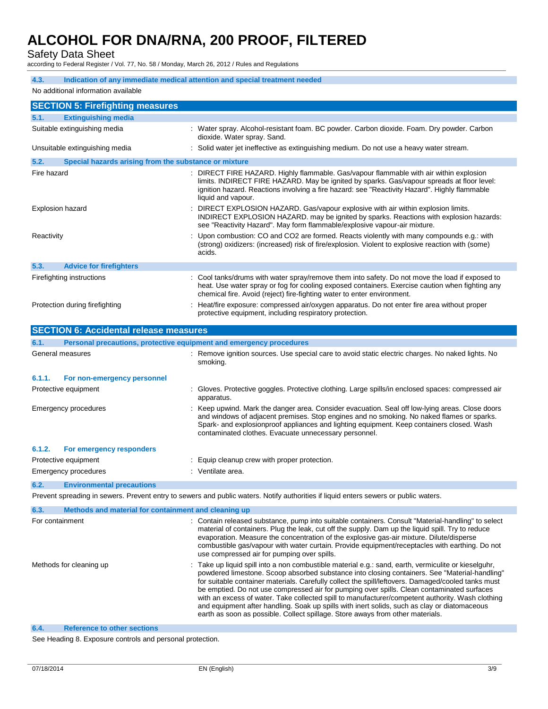Safety Data Sheet

according to Federal Register / Vol. 77, No. 58 / Monday, March 26, 2012 / Rules and Regulations

| 4.3.<br>Indication of any immediate medical attention and special treatment needed                                                   |                                                                                                                                                                                                                                                                                                                                                                                                                                                                                                                                                                                                                                                                                                 |  |  |
|--------------------------------------------------------------------------------------------------------------------------------------|-------------------------------------------------------------------------------------------------------------------------------------------------------------------------------------------------------------------------------------------------------------------------------------------------------------------------------------------------------------------------------------------------------------------------------------------------------------------------------------------------------------------------------------------------------------------------------------------------------------------------------------------------------------------------------------------------|--|--|
| No additional information available                                                                                                  |                                                                                                                                                                                                                                                                                                                                                                                                                                                                                                                                                                                                                                                                                                 |  |  |
| <b>SECTION 5: Firefighting measures</b>                                                                                              |                                                                                                                                                                                                                                                                                                                                                                                                                                                                                                                                                                                                                                                                                                 |  |  |
| 5.1.<br><b>Extinguishing media</b>                                                                                                   |                                                                                                                                                                                                                                                                                                                                                                                                                                                                                                                                                                                                                                                                                                 |  |  |
| Suitable extinguishing media                                                                                                         | : Water spray. Alcohol-resistant foam. BC powder. Carbon dioxide. Foam. Dry powder. Carbon<br>dioxide. Water spray. Sand.                                                                                                                                                                                                                                                                                                                                                                                                                                                                                                                                                                       |  |  |
| Unsuitable extinguishing media                                                                                                       | : Solid water jet ineffective as extinguishing medium. Do not use a heavy water stream.                                                                                                                                                                                                                                                                                                                                                                                                                                                                                                                                                                                                         |  |  |
| 5.2.<br>Special hazards arising from the substance or mixture                                                                        |                                                                                                                                                                                                                                                                                                                                                                                                                                                                                                                                                                                                                                                                                                 |  |  |
| Fire hazard                                                                                                                          | DIRECT FIRE HAZARD. Highly flammable. Gas/vapour flammable with air within explosion<br>limits. INDIRECT FIRE HAZARD. May be ignited by sparks. Gas/vapour spreads at floor level:<br>ignition hazard. Reactions involving a fire hazard: see "Reactivity Hazard". Highly flammable<br>liquid and vapour.                                                                                                                                                                                                                                                                                                                                                                                       |  |  |
| <b>Explosion hazard</b>                                                                                                              | DIRECT EXPLOSION HAZARD. Gas/vapour explosive with air within explosion limits.<br>INDIRECT EXPLOSION HAZARD. may be ignited by sparks. Reactions with explosion hazards:<br>see "Reactivity Hazard". May form flammable/explosive vapour-air mixture.                                                                                                                                                                                                                                                                                                                                                                                                                                          |  |  |
| Reactivity                                                                                                                           | Upon combustion: CO and CO2 are formed. Reacts violently with many compounds e.g.: with<br>(strong) oxidizers: (increased) risk of fire/explosion. Violent to explosive reaction with (some)<br>acids.                                                                                                                                                                                                                                                                                                                                                                                                                                                                                          |  |  |
| 5.3.<br><b>Advice for firefighters</b>                                                                                               |                                                                                                                                                                                                                                                                                                                                                                                                                                                                                                                                                                                                                                                                                                 |  |  |
| Firefighting instructions                                                                                                            | : Cool tanks/drums with water spray/remove them into safety. Do not move the load if exposed to<br>heat. Use water spray or fog for cooling exposed containers. Exercise caution when fighting any<br>chemical fire. Avoid (reject) fire-fighting water to enter environment.                                                                                                                                                                                                                                                                                                                                                                                                                   |  |  |
| Protection during firefighting                                                                                                       | : Heat/fire exposure: compressed air/oxygen apparatus. Do not enter fire area without proper<br>protective equipment, including respiratory protection.                                                                                                                                                                                                                                                                                                                                                                                                                                                                                                                                         |  |  |
| <b>SECTION 6: Accidental release measures</b>                                                                                        |                                                                                                                                                                                                                                                                                                                                                                                                                                                                                                                                                                                                                                                                                                 |  |  |
| 6.1.<br>Personal precautions, protective equipment and emergency procedures                                                          |                                                                                                                                                                                                                                                                                                                                                                                                                                                                                                                                                                                                                                                                                                 |  |  |
| General measures                                                                                                                     | : Remove ignition sources. Use special care to avoid static electric charges. No naked lights. No<br>smoking.                                                                                                                                                                                                                                                                                                                                                                                                                                                                                                                                                                                   |  |  |
| 6.1.1.<br>For non-emergency personnel                                                                                                |                                                                                                                                                                                                                                                                                                                                                                                                                                                                                                                                                                                                                                                                                                 |  |  |
| Protective equipment                                                                                                                 | : Gloves. Protective goggles. Protective clothing. Large spills/in enclosed spaces: compressed air<br>apparatus.                                                                                                                                                                                                                                                                                                                                                                                                                                                                                                                                                                                |  |  |
| <b>Emergency procedures</b>                                                                                                          | : Keep upwind. Mark the danger area. Consider evacuation. Seal off low-lying areas. Close doors<br>and windows of adjacent premises. Stop engines and no smoking. No naked flames or sparks.<br>Spark- and explosionproof appliances and lighting equipment. Keep containers closed. Wash<br>contaminated clothes. Evacuate unnecessary personnel.                                                                                                                                                                                                                                                                                                                                              |  |  |
| 6.1.2.<br>For emergency responders                                                                                                   |                                                                                                                                                                                                                                                                                                                                                                                                                                                                                                                                                                                                                                                                                                 |  |  |
| Protective equipment                                                                                                                 | : Equip cleanup crew with proper protection.                                                                                                                                                                                                                                                                                                                                                                                                                                                                                                                                                                                                                                                    |  |  |
| <b>Emergency procedures</b>                                                                                                          | : Ventilate area.                                                                                                                                                                                                                                                                                                                                                                                                                                                                                                                                                                                                                                                                               |  |  |
| 6.2.<br><b>Environmental precautions</b>                                                                                             |                                                                                                                                                                                                                                                                                                                                                                                                                                                                                                                                                                                                                                                                                                 |  |  |
| Prevent spreading in sewers. Prevent entry to sewers and public waters. Notify authorities if liquid enters sewers or public waters. |                                                                                                                                                                                                                                                                                                                                                                                                                                                                                                                                                                                                                                                                                                 |  |  |
| 6.3.<br>Methods and material for containment and cleaning up                                                                         |                                                                                                                                                                                                                                                                                                                                                                                                                                                                                                                                                                                                                                                                                                 |  |  |
| For containment                                                                                                                      | : Contain released substance, pump into suitable containers. Consult "Material-handling" to select<br>material of containers. Plug the leak, cut off the supply. Dam up the liquid spill. Try to reduce<br>evaporation. Measure the concentration of the explosive gas-air mixture. Dilute/disperse<br>combustible gas/vapour with water curtain. Provide equipment/receptacles with earthing. Do not<br>use compressed air for pumping over spills.                                                                                                                                                                                                                                            |  |  |
| Methods for cleaning up                                                                                                              | : Take up liquid spill into a non combustible material e.g.: sand, earth, vermiculite or kieselguhr,<br>powdered limestone. Scoop absorbed substance into closing containers. See "Material-handling"<br>for suitable container materials. Carefully collect the spill/leftovers. Damaged/cooled tanks must<br>be emptied. Do not use compressed air for pumping over spills. Clean contaminated surfaces<br>with an excess of water. Take collected spill to manufacturer/competent authority. Wash clothing<br>and equipment after handling. Soak up spills with inert solids, such as clay or diatomaceous<br>earth as soon as possible. Collect spillage. Store aways from other materials. |  |  |
| <b>Reference to other sections</b><br>6.4.                                                                                           |                                                                                                                                                                                                                                                                                                                                                                                                                                                                                                                                                                                                                                                                                                 |  |  |

See Heading 8. Exposure controls and personal protection.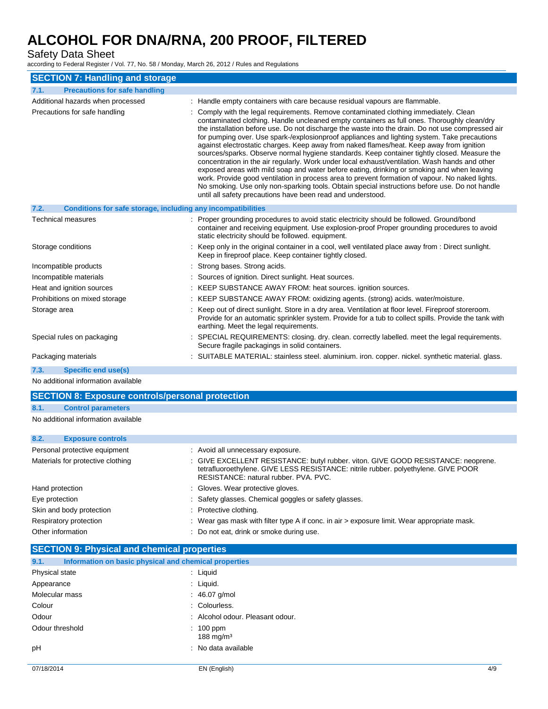Safety Data Sheet

according to Federal Register / Vol. 77, No. 58 / Monday, March 26, 2012 / Rules and Regulations

| <b>SECTION 7: Handling and storage</b>                               |                                                                                                                                                                                                                                                                                                                                                                                                                                                                                                                                                                                                                                                                                                                                                                                                                                                                                                                                                                                                                                                         |
|----------------------------------------------------------------------|---------------------------------------------------------------------------------------------------------------------------------------------------------------------------------------------------------------------------------------------------------------------------------------------------------------------------------------------------------------------------------------------------------------------------------------------------------------------------------------------------------------------------------------------------------------------------------------------------------------------------------------------------------------------------------------------------------------------------------------------------------------------------------------------------------------------------------------------------------------------------------------------------------------------------------------------------------------------------------------------------------------------------------------------------------|
| <b>Precautions for safe handling</b><br>7.1.                         |                                                                                                                                                                                                                                                                                                                                                                                                                                                                                                                                                                                                                                                                                                                                                                                                                                                                                                                                                                                                                                                         |
| Additional hazards when processed                                    | Handle empty containers with care because residual vapours are flammable.                                                                                                                                                                                                                                                                                                                                                                                                                                                                                                                                                                                                                                                                                                                                                                                                                                                                                                                                                                               |
| Precautions for safe handling                                        | Comply with the legal requirements. Remove contaminated clothing immediately. Clean<br>contaminated clothing. Handle uncleaned empty containers as full ones. Thoroughly clean/dry<br>the installation before use. Do not discharge the waste into the drain. Do not use compressed air<br>for pumping over. Use spark-/explosionproof appliances and lighting system. Take precautions<br>against electrostatic charges. Keep away from naked flames/heat. Keep away from ignition<br>sources/sparks. Observe normal hygiene standards. Keep container tightly closed. Measure the<br>concentration in the air regularly. Work under local exhaust/ventilation. Wash hands and other<br>exposed areas with mild soap and water before eating, drinking or smoking and when leaving<br>work. Provide good ventilation in process area to prevent formation of vapour. No naked lights.<br>No smoking. Use only non-sparking tools. Obtain special instructions before use. Do not handle<br>until all safety precautions have been read and understood. |
| Conditions for safe storage, including any incompatibilities<br>7.2. |                                                                                                                                                                                                                                                                                                                                                                                                                                                                                                                                                                                                                                                                                                                                                                                                                                                                                                                                                                                                                                                         |
| <b>Technical measures</b>                                            | : Proper grounding procedures to avoid static electricity should be followed. Ground/bond<br>container and receiving equipment. Use explosion-proof Proper grounding procedures to avoid<br>static electricity should be followed, equipment.                                                                                                                                                                                                                                                                                                                                                                                                                                                                                                                                                                                                                                                                                                                                                                                                           |
| Storage conditions                                                   | Keep only in the original container in a cool, well ventilated place away from : Direct sunlight.<br>Keep in fireproof place. Keep container tightly closed.                                                                                                                                                                                                                                                                                                                                                                                                                                                                                                                                                                                                                                                                                                                                                                                                                                                                                            |
| Incompatible products                                                | Strong bases. Strong acids.                                                                                                                                                                                                                                                                                                                                                                                                                                                                                                                                                                                                                                                                                                                                                                                                                                                                                                                                                                                                                             |
| Incompatible materials                                               | : Sources of ignition. Direct sunlight. Heat sources.                                                                                                                                                                                                                                                                                                                                                                                                                                                                                                                                                                                                                                                                                                                                                                                                                                                                                                                                                                                                   |
| Heat and ignition sources                                            | : KEEP SUBSTANCE AWAY FROM: heat sources. ignition sources.                                                                                                                                                                                                                                                                                                                                                                                                                                                                                                                                                                                                                                                                                                                                                                                                                                                                                                                                                                                             |
| Prohibitions on mixed storage                                        | : KEEP SUBSTANCE AWAY FROM: oxidizing agents. (strong) acids. water/moisture.                                                                                                                                                                                                                                                                                                                                                                                                                                                                                                                                                                                                                                                                                                                                                                                                                                                                                                                                                                           |
| Storage area                                                         | Keep out of direct sunlight. Store in a dry area. Ventilation at floor level. Fireproof storeroom.<br>Provide for an automatic sprinkler system. Provide for a tub to collect spills. Provide the tank with<br>earthing. Meet the legal requirements.                                                                                                                                                                                                                                                                                                                                                                                                                                                                                                                                                                                                                                                                                                                                                                                                   |
| Special rules on packaging                                           | SPECIAL REQUIREMENTS: closing. dry. clean. correctly labelled. meet the legal requirements.<br>Secure fragile packagings in solid containers.                                                                                                                                                                                                                                                                                                                                                                                                                                                                                                                                                                                                                                                                                                                                                                                                                                                                                                           |
| Packaging materials                                                  | : SUITABLE MATERIAL: stainless steel. aluminium. iron. copper. nickel. synthetic material. glass.                                                                                                                                                                                                                                                                                                                                                                                                                                                                                                                                                                                                                                                                                                                                                                                                                                                                                                                                                       |
| <b>Specific end use(s)</b><br>7.3.                                   |                                                                                                                                                                                                                                                                                                                                                                                                                                                                                                                                                                                                                                                                                                                                                                                                                                                                                                                                                                                                                                                         |
| No additional information available                                  |                                                                                                                                                                                                                                                                                                                                                                                                                                                                                                                                                                                                                                                                                                                                                                                                                                                                                                                                                                                                                                                         |

# **SECTION 8: Exposure controls/personal protection 8.1. Control parameters**

No additional information available

| 8.2.<br><b>Exposure controls</b>  |                                                                                                                                                                                                                  |
|-----------------------------------|------------------------------------------------------------------------------------------------------------------------------------------------------------------------------------------------------------------|
| Personal protective equipment     | : Avoid all unnecessary exposure.                                                                                                                                                                                |
| Materials for protective clothing | : GIVE EXCELLENT RESISTANCE: butyl rubber. viton. GIVE GOOD RESISTANCE: neoprene.<br>tetrafluoroethylene. GIVE LESS RESISTANCE: nitrile rubber. polyethylene. GIVE POOR<br>RESISTANCE: natural rubber, PVA, PVC. |
| Hand protection                   | : Gloves. Wear protective gloves.                                                                                                                                                                                |
| Eye protection                    | : Safety glasses. Chemical goggles or safety glasses.                                                                                                                                                            |
| Skin and body protection          | : Protective clothing.                                                                                                                                                                                           |
| Respiratory protection            | : Wear gas mask with filter type A if conc. in air $>$ exposure limit. Wear appropriate mask.                                                                                                                    |
| Other information                 | : Do not eat, drink or smoke during use.                                                                                                                                                                         |

| <b>SECTION 9: Physical and chemical properties</b> |                                                       |  |
|----------------------------------------------------|-------------------------------------------------------|--|
| 9.1.                                               | Information on basic physical and chemical properties |  |
| Physical state                                     | : Liquid                                              |  |
| Appearance                                         | $:$ Liquid.                                           |  |
| Molecular mass                                     | : $46.07$ g/mol                                       |  |
| Colour                                             | : Colourless.                                         |  |
| Odour                                              | : Alcohol odour. Pleasant odour.                      |  |
| Odour threshold                                    | $: 100$ ppm<br>$188 \text{ mg/m}^3$                   |  |
| pH                                                 | : No data available                                   |  |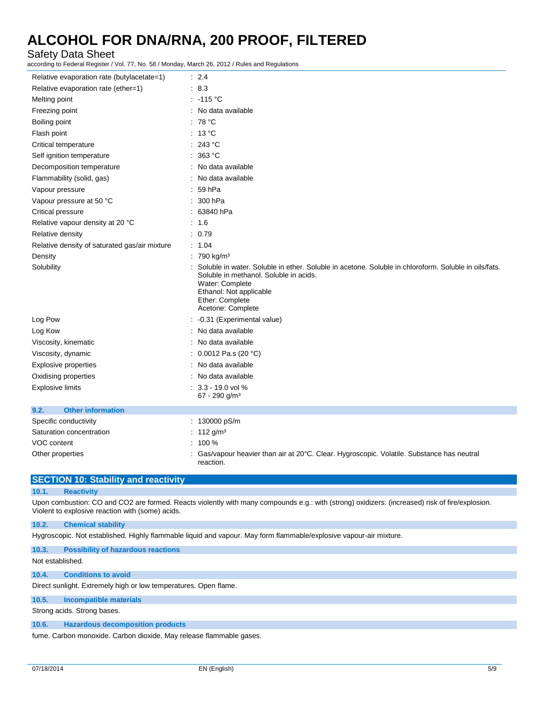Safety Data Sheet

according to Federal Register / Vol. 77, No. 58 / Monday, March 26, 2012 / Rules and Regulations

| Relative evaporation rate (butylacetate=1)    | : 2.4                                                                                                                                                                                                                                  |
|-----------------------------------------------|----------------------------------------------------------------------------------------------------------------------------------------------------------------------------------------------------------------------------------------|
| Relative evaporation rate (ether=1)           | : 8.3                                                                                                                                                                                                                                  |
| Melting point                                 | $: -115 °C$                                                                                                                                                                                                                            |
| Freezing point                                | : No data available                                                                                                                                                                                                                    |
| Boiling point                                 | : 78 $^{\circ}$ C                                                                                                                                                                                                                      |
| Flash point                                   | : 13 °C                                                                                                                                                                                                                                |
| Critical temperature                          | : 243 °C                                                                                                                                                                                                                               |
| Self ignition temperature                     | : 363 °C                                                                                                                                                                                                                               |
| Decomposition temperature                     | : No data available                                                                                                                                                                                                                    |
| Flammability (solid, gas)                     | : No data available                                                                                                                                                                                                                    |
| Vapour pressure                               | : 59hPa                                                                                                                                                                                                                                |
| Vapour pressure at 50 °C                      | $: 300$ hPa                                                                                                                                                                                                                            |
| Critical pressure                             | : 63840 hPa                                                                                                                                                                                                                            |
| Relative vapour density at 20 °C              | : 1.6                                                                                                                                                                                                                                  |
| Relative density                              | : 0.79                                                                                                                                                                                                                                 |
| Relative density of saturated gas/air mixture | : 1.04                                                                                                                                                                                                                                 |
| Density                                       | : 790 kg/m <sup>3</sup>                                                                                                                                                                                                                |
| Solubility                                    | : Soluble in water. Soluble in ether. Soluble in acetone. Soluble in chloroform. Soluble in oils/fats.<br>Soluble in methanol. Soluble in acids.<br>Water: Complete<br>Ethanol: Not applicable<br>Ether: Complete<br>Acetone: Complete |
| Log Pow                                       | : -0.31 (Experimental value)                                                                                                                                                                                                           |
| Log Kow                                       | : No data available                                                                                                                                                                                                                    |
| Viscosity, kinematic                          | : No data available                                                                                                                                                                                                                    |
| Viscosity, dynamic                            | : $0.0012$ Pa.s (20 °C)                                                                                                                                                                                                                |
| Explosive properties                          | : No data available                                                                                                                                                                                                                    |
| Oxidising properties                          | : No data available                                                                                                                                                                                                                    |
| <b>Explosive limits</b>                       | $: 3.3 - 19.0$ vol %<br>67 - 290 g/m <sup>3</sup>                                                                                                                                                                                      |
| <b>Other information</b><br>9.2.              |                                                                                                                                                                                                                                        |
| Specific conductivity                         | : 130000 pS/m                                                                                                                                                                                                                          |
| Saturation concentration                      | : $112 g/m3$                                                                                                                                                                                                                           |
| VOC content                                   | $: 100 \%$                                                                                                                                                                                                                             |
| Other properties                              | Gas/vapour heavier than air at 20°C. Clear. Hygroscopic. Volatile. Substance has neutral                                                                                                                                               |

### **SECTION 10: Stability and reactivity**

#### **10.1. Reactivity**

Upon combustion: CO and CO2 are formed. Reacts violently with many compounds e.g.: with (strong) oxidizers: (increased) risk of fire/explosion. Violent to explosive reaction with (some) acids.

#### **10.2. Chemical stability**

Hygroscopic. Not established. Highly flammable liquid and vapour. May form flammable/explosive vapour-air mixture.

reaction.

### **10.3. Possibility of hazardous reactions**

Not established.

### **10.4. Conditions to avoid**

Direct sunlight. Extremely high or low temperatures. Open flame.

### **10.5. Incompatible materials**

Strong acids. Strong bases.

### **10.6. Hazardous decomposition products**

fume. Carbon monoxide. Carbon dioxide. May release flammable gases.

 $\mathbb{R}^n$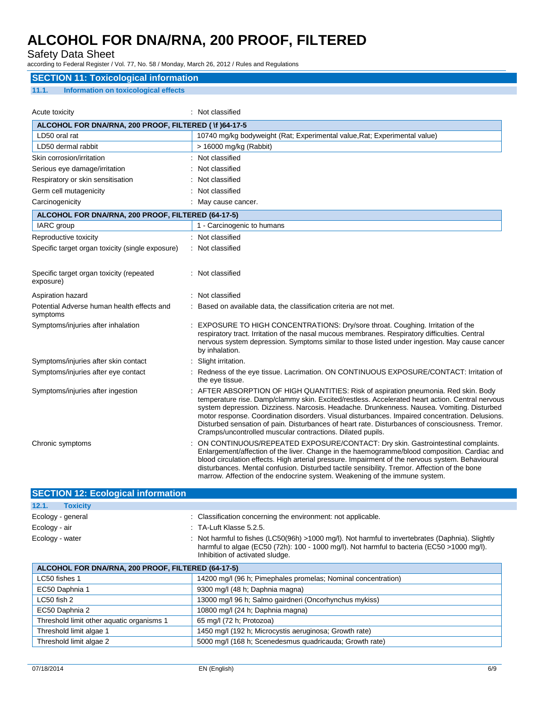Safety Data Sheet

according to Federal Register / Vol. 77, No. 58 / Monday, March 26, 2012 / Rules and Regulations

# **SECTION 11: Toxicological information**

### **11.1. Information on toxicological effects**

| Acute toxicity                                         | : Not classified                                                                                                                                                                                                                                                                                                                                                                                                                                                                                                                                         |  |  |
|--------------------------------------------------------|----------------------------------------------------------------------------------------------------------------------------------------------------------------------------------------------------------------------------------------------------------------------------------------------------------------------------------------------------------------------------------------------------------------------------------------------------------------------------------------------------------------------------------------------------------|--|--|
| ALCOHOL FOR DNA/RNA, 200 PROOF, FILTERED (\f) 64-17-5  |                                                                                                                                                                                                                                                                                                                                                                                                                                                                                                                                                          |  |  |
| LD50 oral rat                                          | 10740 mg/kg bodyweight (Rat; Experimental value, Rat; Experimental value)                                                                                                                                                                                                                                                                                                                                                                                                                                                                                |  |  |
| LD50 dermal rabbit                                     | > 16000 mg/kg (Rabbit)                                                                                                                                                                                                                                                                                                                                                                                                                                                                                                                                   |  |  |
| Skin corrosion/irritation                              | Not classified                                                                                                                                                                                                                                                                                                                                                                                                                                                                                                                                           |  |  |
| Serious eye damage/irritation                          | Not classified                                                                                                                                                                                                                                                                                                                                                                                                                                                                                                                                           |  |  |
| Respiratory or skin sensitisation                      | Not classified                                                                                                                                                                                                                                                                                                                                                                                                                                                                                                                                           |  |  |
| Germ cell mutagenicity                                 | Not classified                                                                                                                                                                                                                                                                                                                                                                                                                                                                                                                                           |  |  |
| Carcinogenicity                                        | May cause cancer.                                                                                                                                                                                                                                                                                                                                                                                                                                                                                                                                        |  |  |
| ALCOHOL FOR DNA/RNA, 200 PROOF, FILTERED (64-17-5)     |                                                                                                                                                                                                                                                                                                                                                                                                                                                                                                                                                          |  |  |
| IARC group                                             | 1 - Carcinogenic to humans                                                                                                                                                                                                                                                                                                                                                                                                                                                                                                                               |  |  |
| Reproductive toxicity                                  | : Not classified                                                                                                                                                                                                                                                                                                                                                                                                                                                                                                                                         |  |  |
| Specific target organ toxicity (single exposure)       | Not classified                                                                                                                                                                                                                                                                                                                                                                                                                                                                                                                                           |  |  |
|                                                        |                                                                                                                                                                                                                                                                                                                                                                                                                                                                                                                                                          |  |  |
| Specific target organ toxicity (repeated<br>exposure)  | Not classified                                                                                                                                                                                                                                                                                                                                                                                                                                                                                                                                           |  |  |
| Aspiration hazard                                      | Not classified                                                                                                                                                                                                                                                                                                                                                                                                                                                                                                                                           |  |  |
| Potential Adverse human health effects and<br>symptoms | Based on available data, the classification criteria are not met.                                                                                                                                                                                                                                                                                                                                                                                                                                                                                        |  |  |
| Symptoms/injuries after inhalation                     | EXPOSURE TO HIGH CONCENTRATIONS: Dry/sore throat. Coughing. Irritation of the<br>respiratory tract. Irritation of the nasal mucous membranes. Respiratory difficulties. Central<br>nervous system depression. Symptoms similar to those listed under ingestion. May cause cancer<br>by inhalation.                                                                                                                                                                                                                                                       |  |  |
| Symptoms/injuries after skin contact                   | Slight irritation.                                                                                                                                                                                                                                                                                                                                                                                                                                                                                                                                       |  |  |
| Symptoms/injuries after eye contact                    | Redness of the eye tissue. Lacrimation. ON CONTINUOUS EXPOSURE/CONTACT: Irritation of<br>the eye tissue.                                                                                                                                                                                                                                                                                                                                                                                                                                                 |  |  |
| Symptoms/injuries after ingestion                      | : AFTER ABSORPTION OF HIGH QUANTITIES: Risk of aspiration pneumonia. Red skin. Body<br>temperature rise. Damp/clammy skin. Excited/restless. Accelerated heart action. Central nervous<br>system depression. Dizziness. Narcosis. Headache. Drunkenness. Nausea. Vomiting. Disturbed<br>motor response. Coordination disorders. Visual disturbances. Impaired concentration. Delusions.<br>Disturbed sensation of pain. Disturbances of heart rate. Disturbances of consciousness. Tremor.<br>Cramps/uncontrolled muscular contractions. Dilated pupils. |  |  |
| Chronic symptoms                                       | ON CONTINUOUS/REPEATED EXPOSURE/CONTACT: Dry skin. Gastrointestinal complaints.<br>Enlargement/affection of the liver. Change in the haemogramme/blood composition. Cardiac and<br>blood circulation effects. High arterial pressure. Impairment of the nervous system. Behavioural<br>disturbances. Mental confusion. Disturbed tactile sensibility. Tremor. Affection of the bone<br>marrow. Affection of the endocrine system. Weakening of the immune system.                                                                                        |  |  |

| <b>SECTION 12: Ecological information</b> |                                                                                                                                                                                                                                    |
|-------------------------------------------|------------------------------------------------------------------------------------------------------------------------------------------------------------------------------------------------------------------------------------|
| 12.1.<br><b>Toxicity</b>                  |                                                                                                                                                                                                                                    |
| Ecology - general                         | : Classification concerning the environment: not applicable.                                                                                                                                                                       |
| Ecology - air                             | $\therefore$ TA-Luft Klasse 5.2.5.                                                                                                                                                                                                 |
| Ecology - water                           | : Not harmful to fishes (LC50(96h) >1000 mg/l). Not harmful to invertebrates (Daphnia). Slightly<br>harmful to algae (EC50 (72h): 100 - 1000 mg/l). Not harmful to bacteria (EC50 > 1000 mg/l).<br>Inhibition of activated sludge. |

| ALCOHOL FOR DNA/RNA, 200 PROOF, FILTERED (64-17-5) |                                                               |  |
|----------------------------------------------------|---------------------------------------------------------------|--|
| LC50 fishes 1                                      | 14200 mg/l (96 h; Pimephales promelas; Nominal concentration) |  |
| EC50 Daphnia 1                                     | 9300 mg/l (48 h; Daphnia magna)                               |  |
| $LC50$ fish 2                                      | 13000 mg/l 96 h; Salmo gairdneri (Oncorhynchus mykiss)        |  |
| EC50 Daphnia 2                                     | 10800 mg/l (24 h; Daphnia magna)                              |  |
| Threshold limit other aquatic organisms 1          | 65 mg/l (72 h; Protozoa)                                      |  |
| Threshold limit algae 1                            | 1450 mg/l (192 h; Microcystis aeruginosa; Growth rate)        |  |
| Threshold limit algae 2                            | 5000 mg/l (168 h; Scenedesmus quadricauda; Growth rate)       |  |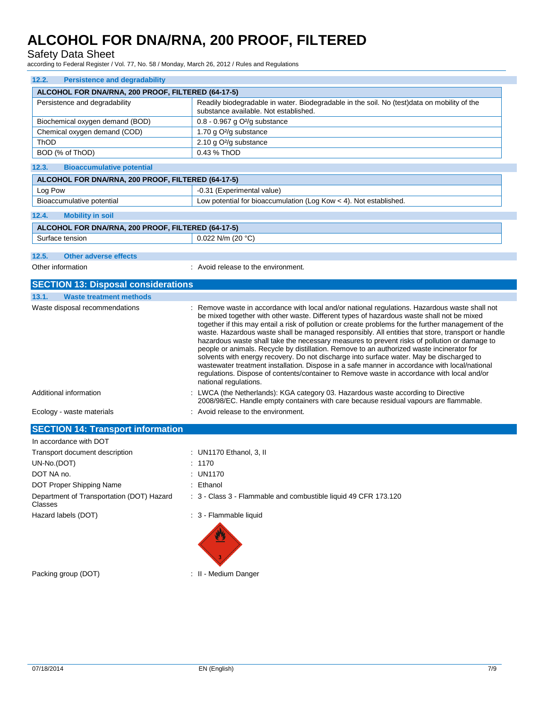Safety Data Sheet

according to Federal Register / Vol. 77, No. 58 / Monday, March 26, 2012 / Rules and Regulations

| <b>Persistence and degradability</b><br>12.2.        |                                                                                                                                                                                                                                                                                                                                                                                                                                                                                                                                                                                                                                                                                                                                                                                                                                                                                                                         |  |  |
|------------------------------------------------------|-------------------------------------------------------------------------------------------------------------------------------------------------------------------------------------------------------------------------------------------------------------------------------------------------------------------------------------------------------------------------------------------------------------------------------------------------------------------------------------------------------------------------------------------------------------------------------------------------------------------------------------------------------------------------------------------------------------------------------------------------------------------------------------------------------------------------------------------------------------------------------------------------------------------------|--|--|
| ALCOHOL FOR DNA/RNA, 200 PROOF, FILTERED (64-17-5)   |                                                                                                                                                                                                                                                                                                                                                                                                                                                                                                                                                                                                                                                                                                                                                                                                                                                                                                                         |  |  |
| Persistence and degradability                        | Readily biodegradable in water. Biodegradable in the soil. No (test) data on mobility of the<br>substance available. Not established.                                                                                                                                                                                                                                                                                                                                                                                                                                                                                                                                                                                                                                                                                                                                                                                   |  |  |
| Biochemical oxygen demand (BOD)                      | $0.8 - 0.967$ g O <sup>2</sup> /g substance                                                                                                                                                                                                                                                                                                                                                                                                                                                                                                                                                                                                                                                                                                                                                                                                                                                                             |  |  |
| Chemical oxygen demand (COD)                         | 1.70 g O <sup>2</sup> /g substance                                                                                                                                                                                                                                                                                                                                                                                                                                                                                                                                                                                                                                                                                                                                                                                                                                                                                      |  |  |
| ThOD                                                 | 2.10 g O <sup>2</sup> /g substance                                                                                                                                                                                                                                                                                                                                                                                                                                                                                                                                                                                                                                                                                                                                                                                                                                                                                      |  |  |
| BOD (% of ThOD)                                      | 0.43 % ThOD                                                                                                                                                                                                                                                                                                                                                                                                                                                                                                                                                                                                                                                                                                                                                                                                                                                                                                             |  |  |
| 12.3.<br><b>Bioaccumulative potential</b>            |                                                                                                                                                                                                                                                                                                                                                                                                                                                                                                                                                                                                                                                                                                                                                                                                                                                                                                                         |  |  |
| ALCOHOL FOR DNA/RNA, 200 PROOF, FILTERED (64-17-5)   |                                                                                                                                                                                                                                                                                                                                                                                                                                                                                                                                                                                                                                                                                                                                                                                                                                                                                                                         |  |  |
| Log Pow                                              | -0.31 (Experimental value)                                                                                                                                                                                                                                                                                                                                                                                                                                                                                                                                                                                                                                                                                                                                                                                                                                                                                              |  |  |
| Bioaccumulative potential                            | Low potential for bioaccumulation (Log Kow < 4). Not established.                                                                                                                                                                                                                                                                                                                                                                                                                                                                                                                                                                                                                                                                                                                                                                                                                                                       |  |  |
| 12.4.<br><b>Mobility in soil</b>                     |                                                                                                                                                                                                                                                                                                                                                                                                                                                                                                                                                                                                                                                                                                                                                                                                                                                                                                                         |  |  |
| ALCOHOL FOR DNA/RNA, 200 PROOF, FILTERED (64-17-5)   |                                                                                                                                                                                                                                                                                                                                                                                                                                                                                                                                                                                                                                                                                                                                                                                                                                                                                                                         |  |  |
| Surface tension                                      | 0.022 N/m (20 $°C$ )                                                                                                                                                                                                                                                                                                                                                                                                                                                                                                                                                                                                                                                                                                                                                                                                                                                                                                    |  |  |
| 12.5.<br><b>Other adverse effects</b>                |                                                                                                                                                                                                                                                                                                                                                                                                                                                                                                                                                                                                                                                                                                                                                                                                                                                                                                                         |  |  |
| Other information                                    | : Avoid release to the environment.                                                                                                                                                                                                                                                                                                                                                                                                                                                                                                                                                                                                                                                                                                                                                                                                                                                                                     |  |  |
|                                                      |                                                                                                                                                                                                                                                                                                                                                                                                                                                                                                                                                                                                                                                                                                                                                                                                                                                                                                                         |  |  |
| <b>SECTION 13: Disposal considerations</b>           |                                                                                                                                                                                                                                                                                                                                                                                                                                                                                                                                                                                                                                                                                                                                                                                                                                                                                                                         |  |  |
| 13.1.<br><b>Waste treatment methods</b>              |                                                                                                                                                                                                                                                                                                                                                                                                                                                                                                                                                                                                                                                                                                                                                                                                                                                                                                                         |  |  |
| Waste disposal recommendations                       | Remove waste in accordance with local and/or national regulations. Hazardous waste shall not<br>be mixed together with other waste. Different types of hazardous waste shall not be mixed<br>together if this may entail a risk of pollution or create problems for the further management of the<br>waste. Hazardous waste shall be managed responsibly. All entities that store, transport or handle<br>hazardous waste shall take the necessary measures to prevent risks of pollution or damage to<br>people or animals. Recycle by distillation. Remove to an authorized waste incinerator for<br>solvents with energy recovery. Do not discharge into surface water. May be discharged to<br>wastewater treatment installation. Dispose in a safe manner in accordance with local/national<br>regulations. Dispose of contents/container to Remove waste in accordance with local and/or<br>national regulations. |  |  |
| Additional information                               | LWCA (the Netherlands): KGA category 03. Hazardous waste according to Directive<br>2008/98/EC. Handle empty containers with care because residual vapours are flammable.                                                                                                                                                                                                                                                                                                                                                                                                                                                                                                                                                                                                                                                                                                                                                |  |  |
| Ecology - waste materials                            | : Avoid release to the environment.                                                                                                                                                                                                                                                                                                                                                                                                                                                                                                                                                                                                                                                                                                                                                                                                                                                                                     |  |  |
| <b>SECTION 14: Transport information</b>             |                                                                                                                                                                                                                                                                                                                                                                                                                                                                                                                                                                                                                                                                                                                                                                                                                                                                                                                         |  |  |
| In accordance with DOT                               |                                                                                                                                                                                                                                                                                                                                                                                                                                                                                                                                                                                                                                                                                                                                                                                                                                                                                                                         |  |  |
| Transport document description                       | : UN1170 Ethanol, 3, II                                                                                                                                                                                                                                                                                                                                                                                                                                                                                                                                                                                                                                                                                                                                                                                                                                                                                                 |  |  |
| UN-No.(DOT)                                          | : 1170                                                                                                                                                                                                                                                                                                                                                                                                                                                                                                                                                                                                                                                                                                                                                                                                                                                                                                                  |  |  |
| DOT NA no.                                           | <b>UN1170</b>                                                                                                                                                                                                                                                                                                                                                                                                                                                                                                                                                                                                                                                                                                                                                                                                                                                                                                           |  |  |
| DOT Proper Shipping Name                             | : Ethanol                                                                                                                                                                                                                                                                                                                                                                                                                                                                                                                                                                                                                                                                                                                                                                                                                                                                                                               |  |  |
| Department of Transportation (DOT) Hazard<br>Classes | : 3 - Class 3 - Flammable and combustible liquid 49 CFR 173.120                                                                                                                                                                                                                                                                                                                                                                                                                                                                                                                                                                                                                                                                                                                                                                                                                                                         |  |  |
| Hazard labels (DOT)                                  | : 3 - Flammable liquid                                                                                                                                                                                                                                                                                                                                                                                                                                                                                                                                                                                                                                                                                                                                                                                                                                                                                                  |  |  |
|                                                      |                                                                                                                                                                                                                                                                                                                                                                                                                                                                                                                                                                                                                                                                                                                                                                                                                                                                                                                         |  |  |
| Packing group (DOT)                                  | : II - Medium Danger                                                                                                                                                                                                                                                                                                                                                                                                                                                                                                                                                                                                                                                                                                                                                                                                                                                                                                    |  |  |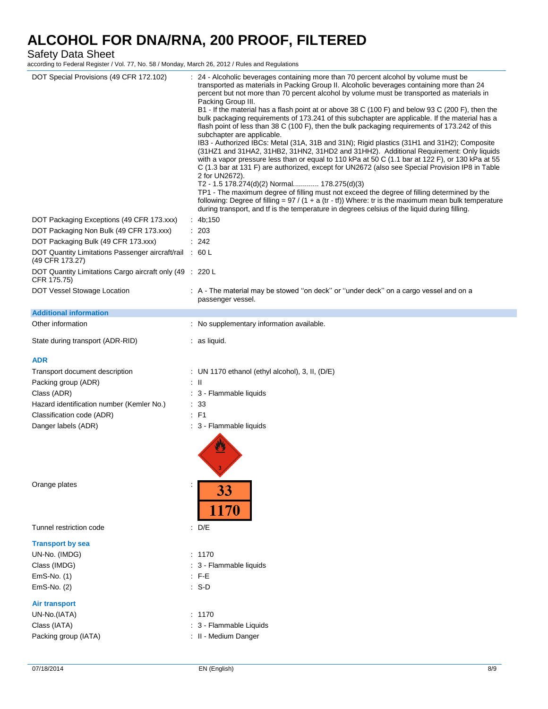Safety Data Sheet

according to Federal Register / Vol. 77, No. 58 / Monday, March 26, 2012 / Rules and Regulations

| DOT Special Provisions (49 CFR 172.102)                                    | : 24 - Alcoholic beverages containing more than 70 percent alcohol by volume must be<br>transported as materials in Packing Group II. Alcoholic beverages containing more than 24<br>percent but not more than 70 percent alcohol by volume must be transported as materials in<br>Packing Group III.<br>B1 - If the material has a flash point at or above 38 C (100 F) and below 93 C (200 F), then the<br>bulk packaging requirements of 173.241 of this subchapter are applicable. If the material has a<br>flash point of less than 38 C (100 F), then the bulk packaging requirements of 173.242 of this<br>subchapter are applicable.<br>IB3 - Authorized IBCs: Metal (31A, 31B and 31N); Rigid plastics (31H1 and 31H2); Composite<br>(31HZ1 and 31HA2, 31HB2, 31HN2, 31HD2 and 31HH2). Additional Requirement: Only liquids<br>with a vapor pressure less than or equal to 110 kPa at 50 C (1.1 bar at 122 F), or 130 kPa at 55<br>C (1.3 bar at 131 F) are authorized, except for UN2672 (also see Special Provision IP8 in Table<br>2 for UN2672).<br>T2 - 1.5 178.274(d)(2) Normal 178.275(d)(3)<br>TP1 - The maximum degree of filling must not exceed the degree of filling determined by the<br>following: Degree of filling = $97 / (1 + a (tr - tf))$ Where: tr is the maximum mean bulk temperature<br>during transport, and tf is the temperature in degrees celsius of the liquid during filling. |
|----------------------------------------------------------------------------|-----------------------------------------------------------------------------------------------------------------------------------------------------------------------------------------------------------------------------------------------------------------------------------------------------------------------------------------------------------------------------------------------------------------------------------------------------------------------------------------------------------------------------------------------------------------------------------------------------------------------------------------------------------------------------------------------------------------------------------------------------------------------------------------------------------------------------------------------------------------------------------------------------------------------------------------------------------------------------------------------------------------------------------------------------------------------------------------------------------------------------------------------------------------------------------------------------------------------------------------------------------------------------------------------------------------------------------------------------------------------------------------------------------------------|
| DOT Packaging Exceptions (49 CFR 173.xxx)                                  | : $4b;150$                                                                                                                                                                                                                                                                                                                                                                                                                                                                                                                                                                                                                                                                                                                                                                                                                                                                                                                                                                                                                                                                                                                                                                                                                                                                                                                                                                                                            |
| DOT Packaging Non Bulk (49 CFR 173.xxx)                                    | : 203                                                                                                                                                                                                                                                                                                                                                                                                                                                                                                                                                                                                                                                                                                                                                                                                                                                                                                                                                                                                                                                                                                                                                                                                                                                                                                                                                                                                                 |
| DOT Packaging Bulk (49 CFR 173.xxx)                                        | : 242                                                                                                                                                                                                                                                                                                                                                                                                                                                                                                                                                                                                                                                                                                                                                                                                                                                                                                                                                                                                                                                                                                                                                                                                                                                                                                                                                                                                                 |
| DOT Quantity Limitations Passenger aircraft/rail : 60 L<br>(49 CFR 173.27) |                                                                                                                                                                                                                                                                                                                                                                                                                                                                                                                                                                                                                                                                                                                                                                                                                                                                                                                                                                                                                                                                                                                                                                                                                                                                                                                                                                                                                       |
| DOT Quantity Limitations Cargo aircraft only (49 : 220 L<br>CFR 175.75)    |                                                                                                                                                                                                                                                                                                                                                                                                                                                                                                                                                                                                                                                                                                                                                                                                                                                                                                                                                                                                                                                                                                                                                                                                                                                                                                                                                                                                                       |
| DOT Vessel Stowage Location                                                | : A - The material may be stowed "on deck" or "under deck" on a cargo vessel and on a<br>passenger vessel.                                                                                                                                                                                                                                                                                                                                                                                                                                                                                                                                                                                                                                                                                                                                                                                                                                                                                                                                                                                                                                                                                                                                                                                                                                                                                                            |
| <b>Additional information</b>                                              |                                                                                                                                                                                                                                                                                                                                                                                                                                                                                                                                                                                                                                                                                                                                                                                                                                                                                                                                                                                                                                                                                                                                                                                                                                                                                                                                                                                                                       |
| Other information                                                          | : No supplementary information available.                                                                                                                                                                                                                                                                                                                                                                                                                                                                                                                                                                                                                                                                                                                                                                                                                                                                                                                                                                                                                                                                                                                                                                                                                                                                                                                                                                             |
| State during transport (ADR-RID)                                           | : as liquid.                                                                                                                                                                                                                                                                                                                                                                                                                                                                                                                                                                                                                                                                                                                                                                                                                                                                                                                                                                                                                                                                                                                                                                                                                                                                                                                                                                                                          |
| <b>ADR</b>                                                                 |                                                                                                                                                                                                                                                                                                                                                                                                                                                                                                                                                                                                                                                                                                                                                                                                                                                                                                                                                                                                                                                                                                                                                                                                                                                                                                                                                                                                                       |
| Transport document description                                             | : UN 1170 ethanol (ethyl alcohol), 3, II, $(D/E)$                                                                                                                                                                                                                                                                                                                                                                                                                                                                                                                                                                                                                                                                                                                                                                                                                                                                                                                                                                                                                                                                                                                                                                                                                                                                                                                                                                     |
| Packing group (ADR)                                                        | : II                                                                                                                                                                                                                                                                                                                                                                                                                                                                                                                                                                                                                                                                                                                                                                                                                                                                                                                                                                                                                                                                                                                                                                                                                                                                                                                                                                                                                  |
| Class (ADR)                                                                | : 3 - Flammable liquids                                                                                                                                                                                                                                                                                                                                                                                                                                                                                                                                                                                                                                                                                                                                                                                                                                                                                                                                                                                                                                                                                                                                                                                                                                                                                                                                                                                               |
| Hazard identification number (Kemler No.)                                  | : 33                                                                                                                                                                                                                                                                                                                                                                                                                                                                                                                                                                                                                                                                                                                                                                                                                                                                                                                                                                                                                                                                                                                                                                                                                                                                                                                                                                                                                  |
| Classification code (ADR)                                                  | $E$ F1                                                                                                                                                                                                                                                                                                                                                                                                                                                                                                                                                                                                                                                                                                                                                                                                                                                                                                                                                                                                                                                                                                                                                                                                                                                                                                                                                                                                                |
| Danger labels (ADR)                                                        | : 3 - Flammable liquids                                                                                                                                                                                                                                                                                                                                                                                                                                                                                                                                                                                                                                                                                                                                                                                                                                                                                                                                                                                                                                                                                                                                                                                                                                                                                                                                                                                               |
| Orange plates                                                              | 33<br>1170                                                                                                                                                                                                                                                                                                                                                                                                                                                                                                                                                                                                                                                                                                                                                                                                                                                                                                                                                                                                                                                                                                                                                                                                                                                                                                                                                                                                            |
| Tunnel restriction code                                                    | $\therefore$ D/E                                                                                                                                                                                                                                                                                                                                                                                                                                                                                                                                                                                                                                                                                                                                                                                                                                                                                                                                                                                                                                                                                                                                                                                                                                                                                                                                                                                                      |
| <b>Transport by sea</b>                                                    |                                                                                                                                                                                                                                                                                                                                                                                                                                                                                                                                                                                                                                                                                                                                                                                                                                                                                                                                                                                                                                                                                                                                                                                                                                                                                                                                                                                                                       |
| UN-No. (IMDG)                                                              | : 1170                                                                                                                                                                                                                                                                                                                                                                                                                                                                                                                                                                                                                                                                                                                                                                                                                                                                                                                                                                                                                                                                                                                                                                                                                                                                                                                                                                                                                |
| Class (IMDG)                                                               | : 3 - Flammable liquids                                                                                                                                                                                                                                                                                                                                                                                                                                                                                                                                                                                                                                                                                                                                                                                                                                                                                                                                                                                                                                                                                                                                                                                                                                                                                                                                                                                               |
| EmS-No. (1)                                                                | $\therefore$ F-E                                                                                                                                                                                                                                                                                                                                                                                                                                                                                                                                                                                                                                                                                                                                                                                                                                                                                                                                                                                                                                                                                                                                                                                                                                                                                                                                                                                                      |
| EmS-No. (2)                                                                | $: S-D$                                                                                                                                                                                                                                                                                                                                                                                                                                                                                                                                                                                                                                                                                                                                                                                                                                                                                                                                                                                                                                                                                                                                                                                                                                                                                                                                                                                                               |
| <b>Air transport</b>                                                       |                                                                                                                                                                                                                                                                                                                                                                                                                                                                                                                                                                                                                                                                                                                                                                                                                                                                                                                                                                                                                                                                                                                                                                                                                                                                                                                                                                                                                       |
| UN-No.(IATA)                                                               | : 1170                                                                                                                                                                                                                                                                                                                                                                                                                                                                                                                                                                                                                                                                                                                                                                                                                                                                                                                                                                                                                                                                                                                                                                                                                                                                                                                                                                                                                |
| Class (IATA)                                                               | : 3 - Flammable Liquids                                                                                                                                                                                                                                                                                                                                                                                                                                                                                                                                                                                                                                                                                                                                                                                                                                                                                                                                                                                                                                                                                                                                                                                                                                                                                                                                                                                               |
| Packing group (IATA)                                                       | : II - Medium Danger                                                                                                                                                                                                                                                                                                                                                                                                                                                                                                                                                                                                                                                                                                                                                                                                                                                                                                                                                                                                                                                                                                                                                                                                                                                                                                                                                                                                  |
|                                                                            |                                                                                                                                                                                                                                                                                                                                                                                                                                                                                                                                                                                                                                                                                                                                                                                                                                                                                                                                                                                                                                                                                                                                                                                                                                                                                                                                                                                                                       |